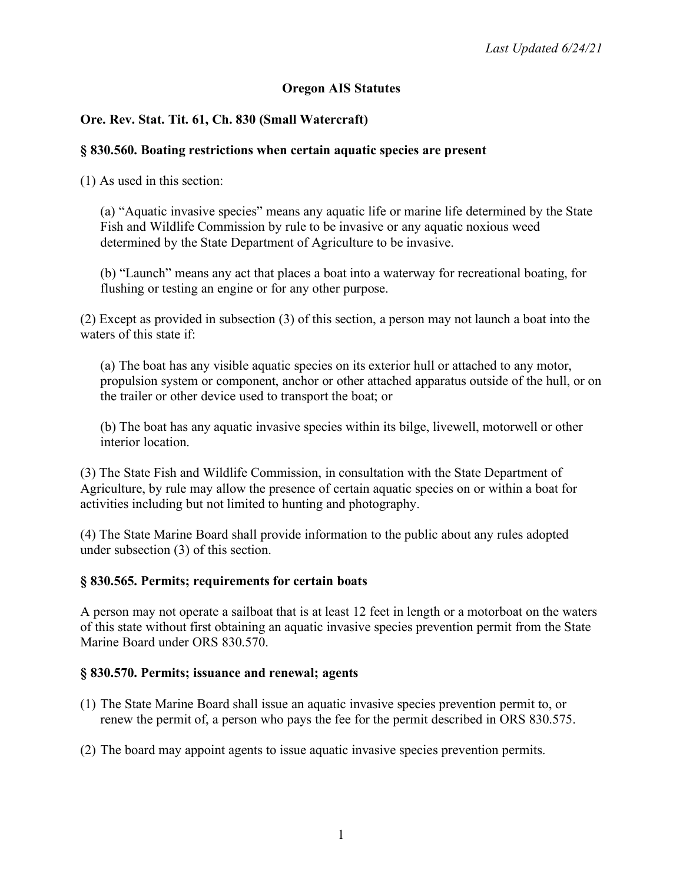## **Oregon AIS Statutes**

## **Ore. Rev. Stat. Tit. 61, Ch. 830 (Small Watercraft)**

#### **§ 830.560. Boating restrictions when certain aquatic species are present**

(1) As used in this section:

(a) "Aquatic invasive species" means any aquatic life or marine life determined by the State Fish and Wildlife Commission by rule to be invasive or any aquatic noxious weed determined by the State Department of Agriculture to be invasive.

(b) "Launch" means any act that places a boat into a waterway for recreational boating, for flushing or testing an engine or for any other purpose.

(2) Except as provided in subsection (3) of this section, a person may not launch a boat into the waters of this state if:

(a) The boat has any visible aquatic species on its exterior hull or attached to any motor, propulsion system or component, anchor or other attached apparatus outside of the hull, or on the trailer or other device used to transport the boat; or

(b) The boat has any aquatic invasive species within its bilge, livewell, motorwell or other interior location.

(3) The State Fish and Wildlife Commission, in consultation with the State Department of Agriculture, by rule may allow the presence of certain aquatic species on or within a boat for activities including but not limited to hunting and photography.

(4) The State Marine Board shall provide information to the public about any rules adopted under subsection (3) of this section.

### **§ 830.565. Permits; requirements for certain boats**

A person may not operate a sailboat that is at least 12 feet in length or a motorboat on the waters of this state without first obtaining an aquatic invasive species prevention permit from the State Marine Board under ORS 830.570.

### **§ 830.570. Permits; issuance and renewal; agents**

- (1) The State Marine Board shall issue an aquatic invasive species prevention permit to, or renew the permit of, a person who pays the fee for the permit described in ORS 830.575.
- (2) The board may appoint agents to issue aquatic invasive species prevention permits.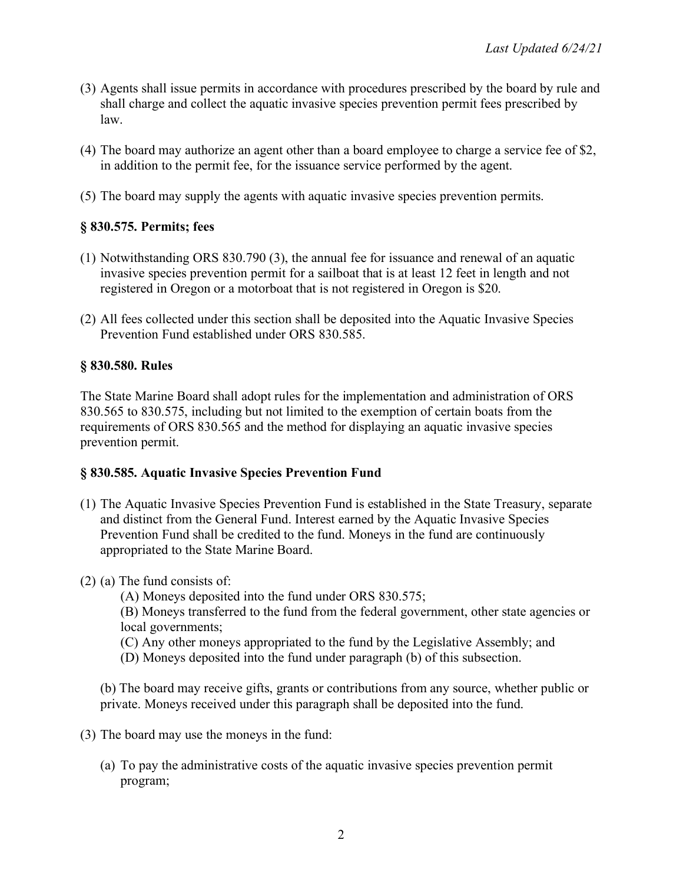- (3) Agents shall issue permits in accordance with procedures prescribed by the board by rule and shall charge and collect the aquatic invasive species prevention permit fees prescribed by law.
- (4) The board may authorize an agent other than a board employee to charge a service fee of \$2, in addition to the permit fee, for the issuance service performed by the agent.
- (5) The board may supply the agents with aquatic invasive species prevention permits.

## **§ 830.575. Permits; fees**

- (1) Notwithstanding ORS 830.790 (3), the annual fee for issuance and renewal of an aquatic invasive species prevention permit for a sailboat that is at least 12 feet in length and not registered in Oregon or a motorboat that is not registered in Oregon is \$20.
- (2) All fees collected under this section shall be deposited into the Aquatic Invasive Species Prevention Fund established under ORS 830.585.

# **§ 830.580. Rules**

The State Marine Board shall adopt rules for the implementation and administration of ORS 830.565 to 830.575, including but not limited to the exemption of certain boats from the requirements of ORS 830.565 and the method for displaying an aquatic invasive species prevention permit.

## **§ 830.585. Aquatic Invasive Species Prevention Fund**

- (1) The Aquatic Invasive Species Prevention Fund is established in the State Treasury, separate and distinct from the General Fund. Interest earned by the Aquatic Invasive Species Prevention Fund shall be credited to the fund. Moneys in the fund are continuously appropriated to the State Marine Board.
- (2) (a) The fund consists of:
	- (A) Moneys deposited into the fund under ORS 830.575;

(B) Moneys transferred to the fund from the federal government, other state agencies or local governments;

- (C) Any other moneys appropriated to the fund by the Legislative Assembly; and
- (D) Moneys deposited into the fund under paragraph (b) of this subsection.

(b) The board may receive gifts, grants or contributions from any source, whether public or private. Moneys received under this paragraph shall be deposited into the fund.

- (3) The board may use the moneys in the fund:
	- (a) To pay the administrative costs of the aquatic invasive species prevention permit program;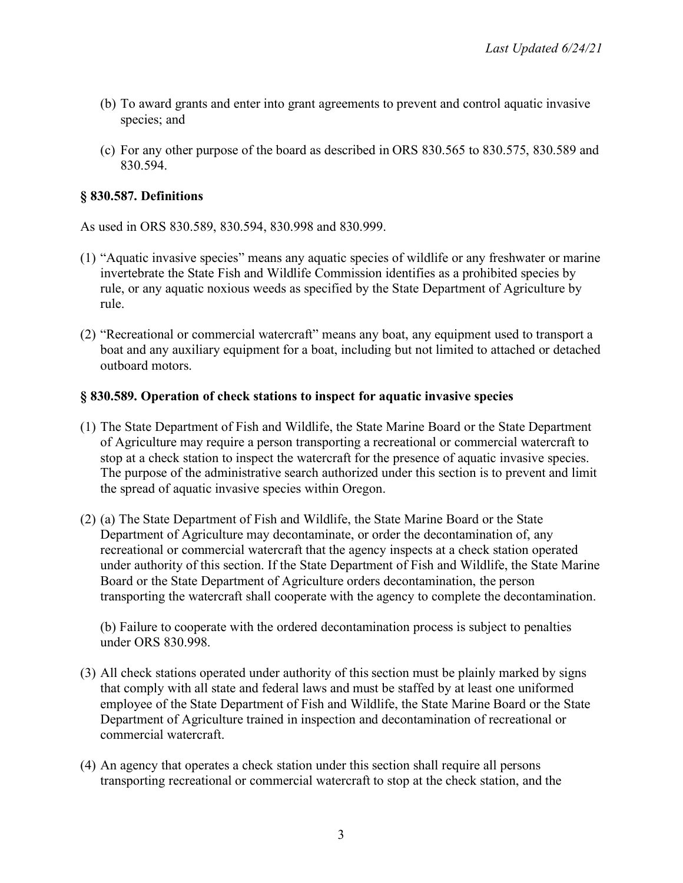- (b) To award grants and enter into grant agreements to prevent and control aquatic invasive species; and
- (c) For any other purpose of the board as described in ORS 830.565 to 830.575, 830.589 and 830.594.

## **§ 830.587. Definitions**

As used in ORS 830.589, 830.594, 830.998 and 830.999.

- (1) "Aquatic invasive species" means any aquatic species of wildlife or any freshwater or marine invertebrate the State Fish and Wildlife Commission identifies as a prohibited species by rule, or any aquatic noxious weeds as specified by the State Department of Agriculture by rule.
- (2) "Recreational or commercial watercraft" means any boat, any equipment used to transport a boat and any auxiliary equipment for a boat, including but not limited to attached or detached outboard motors.

### **§ 830.589. Operation of check stations to inspect for aquatic invasive species**

- (1) The State Department of Fish and Wildlife, the State Marine Board or the State Department of Agriculture may require a person transporting a recreational or commercial watercraft to stop at a check station to inspect the watercraft for the presence of aquatic invasive species. The purpose of the administrative search authorized under this section is to prevent and limit the spread of aquatic invasive species within Oregon.
- (2) (a) The State Department of Fish and Wildlife, the State Marine Board or the State Department of Agriculture may decontaminate, or order the decontamination of, any recreational or commercial watercraft that the agency inspects at a check station operated under authority of this section. If the State Department of Fish and Wildlife, the State Marine Board or the State Department of Agriculture orders decontamination, the person transporting the watercraft shall cooperate with the agency to complete the decontamination.

(b) Failure to cooperate with the ordered decontamination process is subject to penalties under ORS 830.998.

- (3) All check stations operated under authority of this section must be plainly marked by signs that comply with all state and federal laws and must be staffed by at least one uniformed employee of the State Department of Fish and Wildlife, the State Marine Board or the State Department of Agriculture trained in inspection and decontamination of recreational or commercial watercraft.
- (4) An agency that operates a check station under this section shall require all persons transporting recreational or commercial watercraft to stop at the check station, and the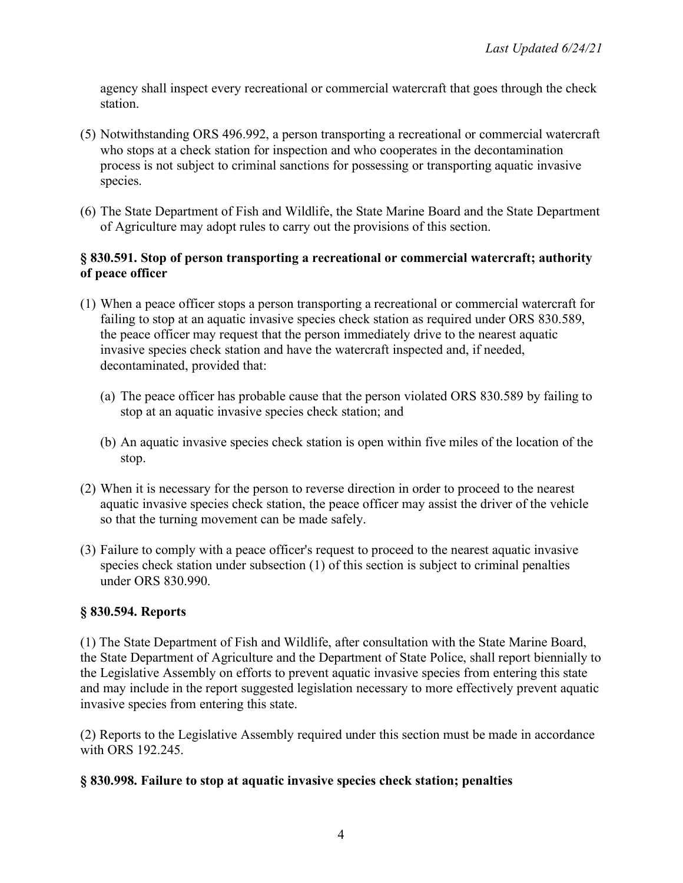agency shall inspect every recreational or commercial watercraft that goes through the check station.

- (5) Notwithstanding ORS 496.992, a person transporting a recreational or commercial watercraft who stops at a check station for inspection and who cooperates in the decontamination process is not subject to criminal sanctions for possessing or transporting aquatic invasive species.
- (6) The State Department of Fish and Wildlife, the State Marine Board and the State Department of Agriculture may adopt rules to carry out the provisions of this section.

### **§ 830.591. Stop of person transporting a recreational or commercial watercraft; authority of peace officer**

- (1) When a peace officer stops a person transporting a recreational or commercial watercraft for failing to stop at an aquatic invasive species check station as required under ORS 830.589, the peace officer may request that the person immediately drive to the nearest aquatic invasive species check station and have the watercraft inspected and, if needed, decontaminated, provided that:
	- (a) The peace officer has probable cause that the person violated ORS 830.589 by failing to stop at an aquatic invasive species check station; and
	- (b) An aquatic invasive species check station is open within five miles of the location of the stop.
- (2) When it is necessary for the person to reverse direction in order to proceed to the nearest aquatic invasive species check station, the peace officer may assist the driver of the vehicle so that the turning movement can be made safely.
- (3) Failure to comply with a peace officer's request to proceed to the nearest aquatic invasive species check station under subsection (1) of this section is subject to criminal penalties under ORS 830.990.

## **§ 830.594. Reports**

(1) The State Department of Fish and Wildlife, after consultation with the State Marine Board, the State Department of Agriculture and the Department of State Police, shall report biennially to the Legislative Assembly on efforts to prevent aquatic invasive species from entering this state and may include in the report suggested legislation necessary to more effectively prevent aquatic invasive species from entering this state.

(2) Reports to the Legislative Assembly required under this section must be made in accordance with ORS 192.245.

### **§ 830.998. Failure to stop at aquatic invasive species check station; penalties**